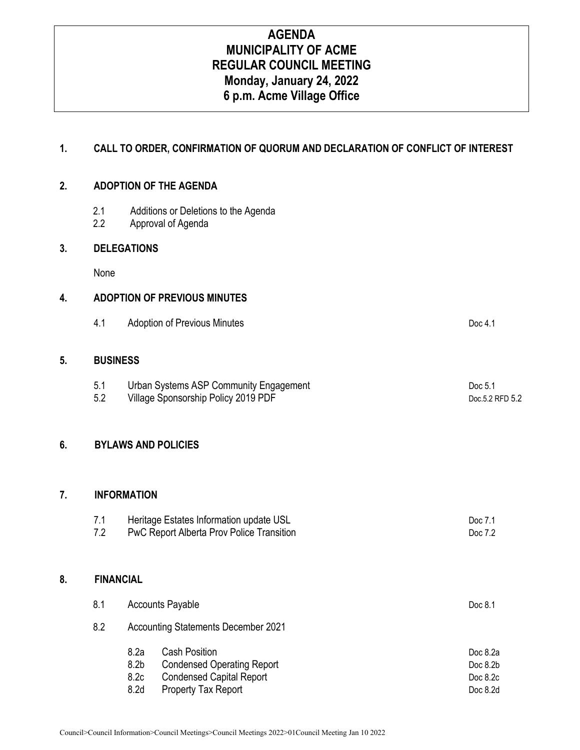# **AGENDA MUNICIPALITY OF ACME REGULAR COUNCIL MEETING Monday, January 24, 2022 6 p.m. Acme Village Office**

### **1. CALL TO ORDER, CONFIRMATION OF QUORUM AND DECLARATION OF CONFLICT OF INTEREST**

#### **2. ADOPTION OF THE AGENDA**

- 2.1 Additions or Deletions to the Agenda
- 2.2 Approval of Agenda

#### **3. DELEGATIONS**

None

#### **4. ADOPTION OF PREVIOUS MINUTES**

| 4.1 | <b>Adoption of Previous Minutes</b> | Doc 4.1 |
|-----|-------------------------------------|---------|
|     |                                     |         |

### **5. BUSINESS**

| 5.1 | Urban Systems ASP Community Engagement | Doc 5.1         |
|-----|----------------------------------------|-----------------|
| 5.2 | Village Sponsorship Policy 2019 PDF    | Doc.5.2 RFD 5.2 |

### **6. BYLAWS AND POLICIES**

#### **7. INFORMATION**

| 7.1 | Heritage Estates Information update USL          | Doc 7.1 |
|-----|--------------------------------------------------|---------|
| 7.2 | <b>PwC Report Alberta Prov Police Transition</b> | Doc 7.2 |

#### **8. FINANCIAL**

| <b>Accounts Payable</b>                    |                                   |            |
|--------------------------------------------|-----------------------------------|------------|
| <b>Accounting Statements December 2021</b> |                                   |            |
| 8.2a                                       | <b>Cash Position</b>              | Doc $8.2a$ |
| 8.2 <sub>b</sub>                           | <b>Condensed Operating Report</b> | Doc $8.2b$ |
| 8.2c                                       | <b>Condensed Capital Report</b>   | Doc $8.2c$ |
| 8.2d                                       | <b>Property Tax Report</b>        | Doc 8.2d   |
|                                            |                                   |            |